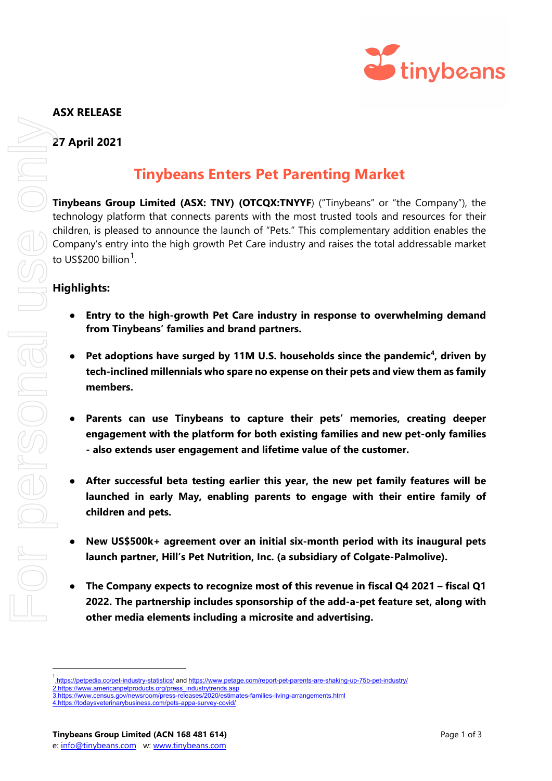

## **ASX RELEASE**

**27 April 2021**

## **Tinybeans Enters Pet Parenting Market**

**Tinybeans Group Limited (ASX: TNY) (OTCQX:TNYYF)** ("Tinybeans" or "the Company"), the technology platform that connects parents with the most trusted tools and resources for their children, is pleased to announce the launch of "Pets." This complementary addition enables the Company's entry into the high growth Pet Care industry and raises the total addressable market to US\$200 billion $^{\rm 1}$  $^{\rm 1}$  $^{\rm 1}$ .

## **Highlights:**

- **Entry to the high-growth Pet Care industry in response to overwhelming demand from Tinybeans' families and brand partners.**
- Pet adoptions have surged by 11M U.S. households since the pandemic<sup>4</sup>, driven by **tech-inclined millennials who spare no expense on their pets and view them as family members.**
- **Parents can use Tinybeans to capture their pets' memories, creating deeper engagement with the platform for both existing families and new pet-only families - also extends user engagement and lifetime value of the customer.**
- After successful beta testing earlier this year, the new pet family features will be **launched in early May, enabling parents to engage with their entire family of children and pets.**
- **New US\$500k+ agreement over an initial six-month period with its inaugural pets launch partner, Hill's Pet Nutrition, Inc. (a subsidiary of Colgate-Palmolive).**
- **The Company expects to recognize most of this revenue in fiscal Q4 2021 – fiscal Q1 2022. The partnership includes sponsorship of the add-a-pet feature set, along with other media elements including a microsite and advertising.**

<span id="page-0-0"></span><sup>&</sup>lt;sup>1</sup>[.https://petpedia.co/pet-industry-statistics/](https://petpedia.co/pet-industry-statistics/) an[d https://www.petage.com/report-pet-parents-are-shaking-up-75b-pet-industry/](https://www.petage.com/report-pet-parents-are-shaking-up-75b-pet-industry/) [2.https://www.americanpetproducts.org/press\\_industrytrends.asp](https://www.americanpetproducts.org/press_industrytrends.asp)

[<sup>3.</sup>https://www.census.gov/newsroom/press-releases/2020/estimates-families-living-arrangements.html](https://www.census.gov/newsroom/press-releases/2020/estimates-families-living-arrangements.html)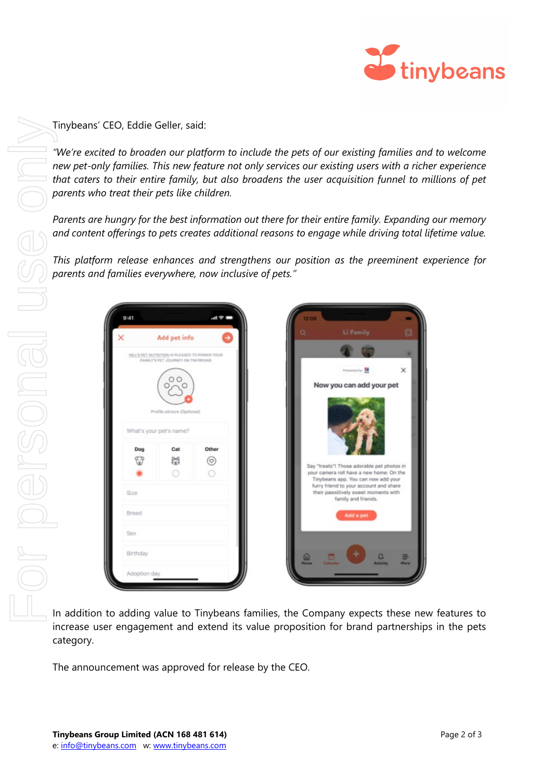

Tinybeans' CEO, Eddie Geller, said:

*"We're excited to broaden our platform to include the pets of our existing families and to welcome new pet-only families. This new feature not only services our existing users with a richer experience that caters to their entire family, but also broadens the user acquisition funnel to millions of pet parents who treat their pets like children.*

*Parents are hungry for the best information out there for their entire family. Expanding our memory and content offerings to pets creates additional reasons to engage while driving total lifetime value.* 

*This platform release enhances and strengthens our position as the preeminent experience for parents and families everywhere, now inclusive of pets."*



In addition to adding value to Tinybeans families, the Company expects these new features to increase user engagement and extend its value proposition for brand partnerships in the pets category.